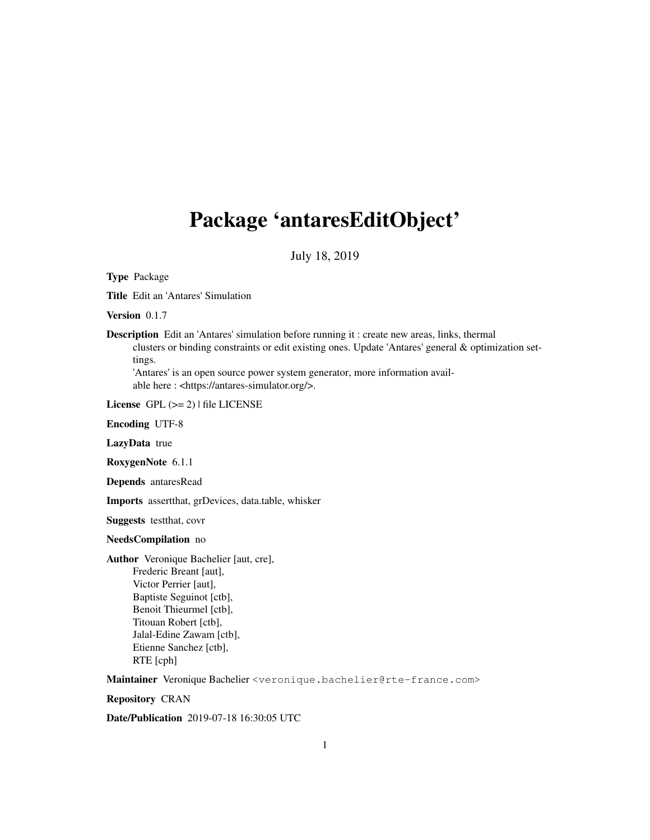# Package 'antaresEditObject'

July 18, 2019

Type Package

Title Edit an 'Antares' Simulation

Version 0.1.7

Description Edit an 'Antares' simulation before running it : create new areas, links, thermal clusters or binding constraints or edit existing ones. Update 'Antares' general & optimization settings.

'Antares' is an open source power system generator, more information available here : <https://antares-simulator.org/>.

License GPL  $(>= 2)$  | file LICENSE

Encoding UTF-8

LazyData true

RoxygenNote 6.1.1

Depends antaresRead

Imports assertthat, grDevices, data.table, whisker

Suggests testthat, covr

NeedsCompilation no

Author Veronique Bachelier [aut, cre], Frederic Breant [aut], Victor Perrier [aut], Baptiste Seguinot [ctb], Benoit Thieurmel [ctb], Titouan Robert [ctb], Jalal-Edine Zawam [ctb], Etienne Sanchez [ctb], RTE [cph]

Maintainer Veronique Bachelier <veronique.bachelier@rte-france.com>

Repository CRAN

Date/Publication 2019-07-18 16:30:05 UTC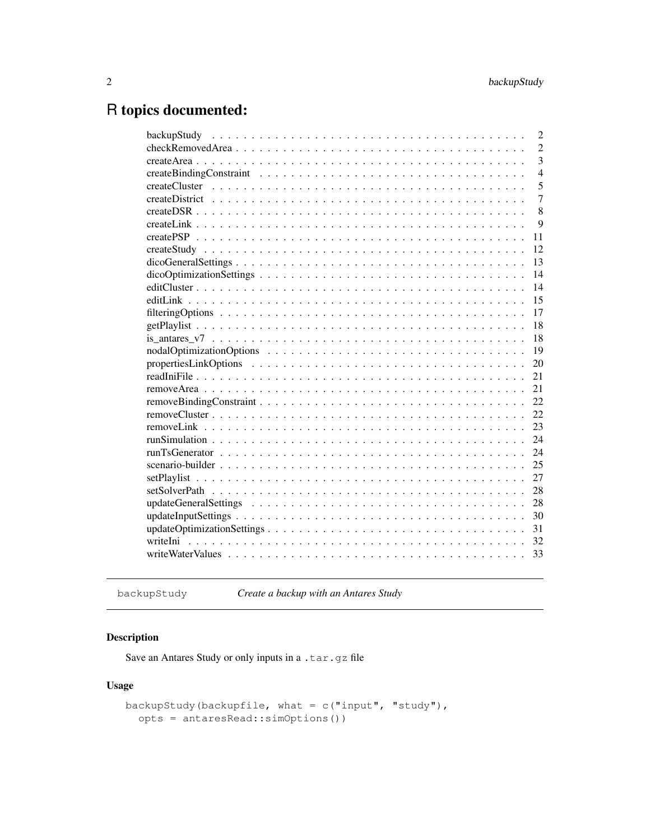# R topics documented:

|    | $\overline{c}$ |
|----|----------------|
|    | $\overline{2}$ |
|    | $\overline{3}$ |
|    | $\overline{4}$ |
|    | 5              |
|    | $\overline{7}$ |
|    | 8              |
|    | 9              |
| 11 |                |
| 12 |                |
| 13 |                |
| 14 |                |
| 14 |                |
| 15 |                |
| 17 |                |
| 18 |                |
| 18 |                |
| 19 |                |
| 20 |                |
| 21 |                |
| 21 |                |
| 22 |                |
| 22 |                |
| 23 |                |
| 24 |                |
| 24 |                |
| 25 |                |
| 27 |                |
| 28 |                |
| 28 |                |
| 30 |                |
| 31 |                |
| 32 |                |
| 33 |                |
|    |                |

backupStudy *Create a backup with an Antares Study*

# Description

Save an Antares Study or only inputs in a .tar.gz file

# Usage

```
backupStudy(backupfile, what = c("input", "study"),opts = antaresRead::simOptions())
```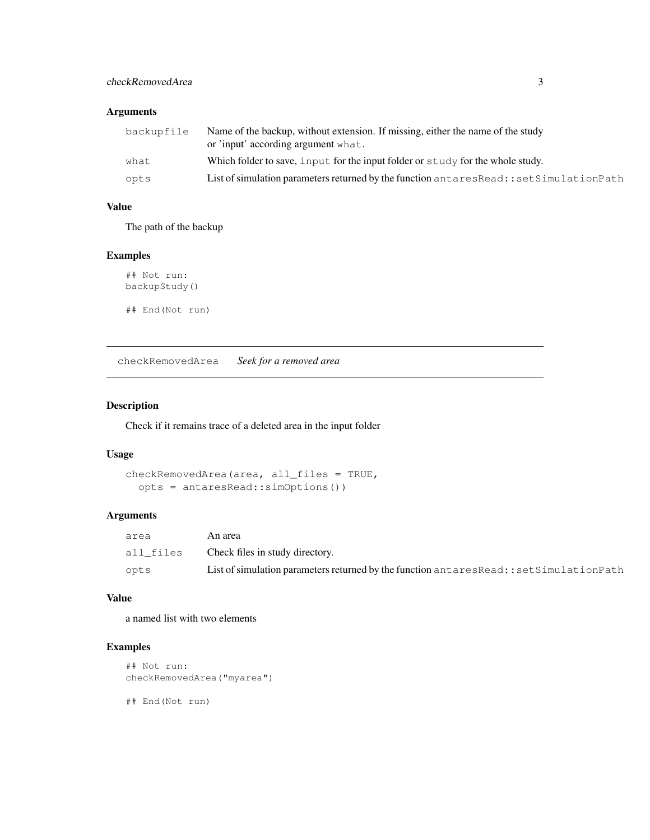# checkRemovedArea 3

# Arguments

| backupfile | Name of the backup, without extension. If missing, either the name of the study       |
|------------|---------------------------------------------------------------------------------------|
|            | or 'input' according argument what.                                                   |
| what       | Which folder to save, input for the input folder or study for the whole study.        |
| opts       | List of simulation parameters returned by the function antaresRead::setSimulationPath |

# Value

The path of the backup

# Examples

## Not run: backupStudy() ## End(Not run)

checkRemovedArea *Seek for a removed area*

# Description

Check if it remains trace of a deleted area in the input folder

# Usage

```
checkRemovedArea(area, all_files = TRUE,
  opts = antaresRead::simOptions())
```
# Arguments

| area      | An area                                                                                    |
|-----------|--------------------------------------------------------------------------------------------|
| all files | Check files in study directory.                                                            |
| opts      | List of simulation parameters returned by the function antares Read: : set Simulation Path |

# Value

a named list with two elements

# Examples

```
## Not run:
checkRemovedArea("myarea")
```
## End(Not run)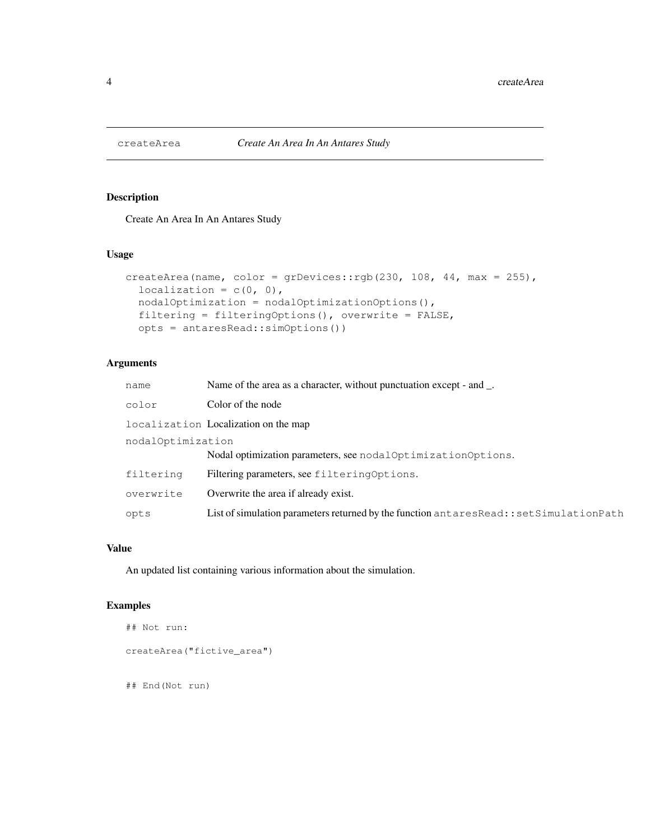# Description

Create An Area In An Antares Study

#### Usage

```
createArea(name, color = grDevices::rgb(230, 108, 44, max = 255),
  localization = c(0, 0),
  nodalOptimization = nodalOptimizationOptions(),
  filtering = filteringOptions(), overwrite = FALSE,
  opts = antaresRead::simOptions())
```
# Arguments

| name              | Name of the area as a character, without punctuation except - and _.                      |  |
|-------------------|-------------------------------------------------------------------------------------------|--|
| color             | Color of the node                                                                         |  |
|                   | localization Localization on the map                                                      |  |
| nodalOptimization |                                                                                           |  |
|                   | Nodal optimization parameters, see nodalOptimizationOptions.                              |  |
| filtering         | Filtering parameters, see filtering Options.                                              |  |
| overwrite         | Overwrite the area if already exist.                                                      |  |
| opts              | List of simulation parameters returned by the function antares Read:: set Simulation Path |  |

#### Value

An updated list containing various information about the simulation.

```
## Not run:
createArea("fictive_area")
## End(Not run)
```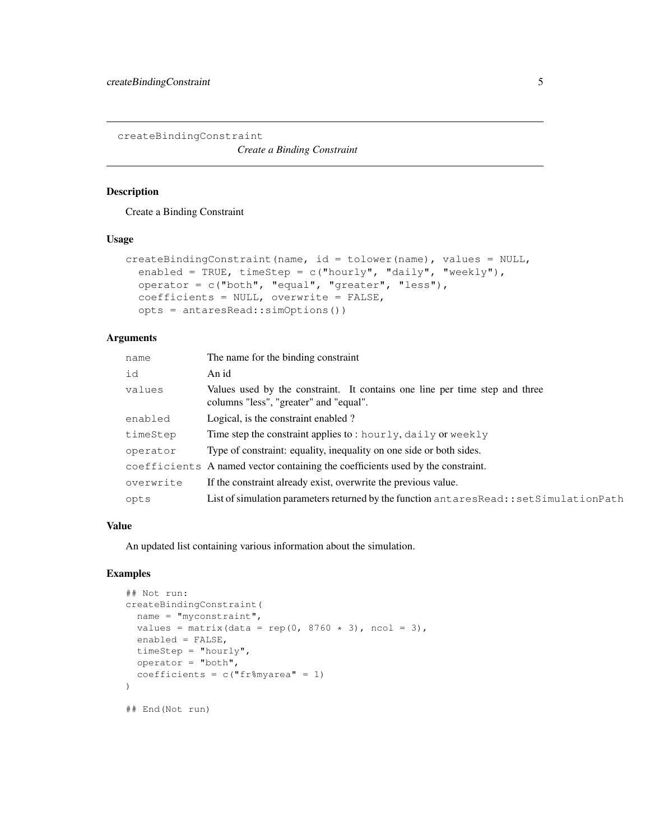createBindingConstraint

*Create a Binding Constraint*

# Description

Create a Binding Constraint

#### Usage

```
createstindingConstraint(name, id = tolower(name), values = NULL,enabled = TRUE, timeStep = c("hourly", "daily", "weekly"),
  operator = c("both", "equal", "greater", "less"),
  coefficients = NULL, overwrite = FALSE,
  opts = antaresRead::simOptions())
```
#### Arguments

| name      | The name for the binding constraint                                                                                   |
|-----------|-----------------------------------------------------------------------------------------------------------------------|
| id        | An id                                                                                                                 |
| values    | Values used by the constraint. It contains one line per time step and three<br>columns "less", "greater" and "equal". |
| enabled   | Logical, is the constraint enabled?                                                                                   |
| timeStep  | Time step the constraint applies to: hourly, $daily$ or weekly                                                        |
| operator  | Type of constraint: equality, inequality on one side or both sides.                                                   |
|           | coefficients A named vector containing the coefficients used by the constraint.                                       |
| overwrite | If the constraint already exist, overwrite the previous value.                                                        |
| opts      | List of simulation parameters returned by the function antares Read:: set Simulation Path                             |

#### Value

An updated list containing various information about the simulation.

```
## Not run:
createBindingConstraint(
 name = "myconstraint",
 values = matrix(data = rep(0, 8760 * 3), ncol = 3),
 enabled = FALSE,
 timeStep = "hourly",
 operator = "both",
  coefficients = c("fr%myarea" = 1))
## End(Not run)
```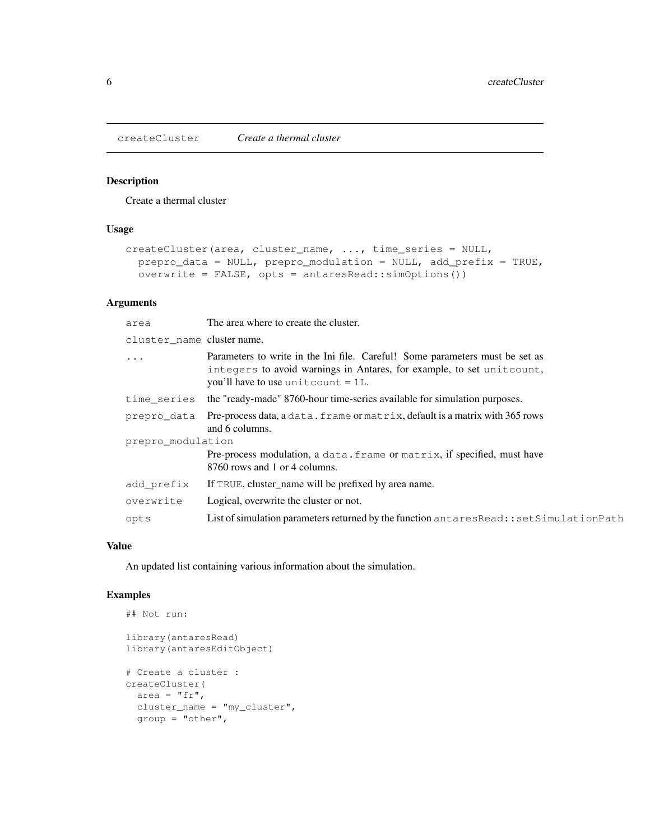createCluster *Create a thermal cluster*

# Description

Create a thermal cluster

# Usage

```
createCluster(area, cluster_name, ..., time_series = NULL,
  prepro_data = NULL, prepro_modulation = NULL, add_prefix = TRUE,
  overwrite = FALSE, opts = antaresRead::simOptions())
```
# Arguments

| area                       | The area where to create the cluster.                                                                                                                                                           |  |
|----------------------------|-------------------------------------------------------------------------------------------------------------------------------------------------------------------------------------------------|--|
| cluster name cluster name. |                                                                                                                                                                                                 |  |
| $\cdot$                    | Parameters to write in the Ini file. Careful! Some parameters must be set as<br>integers to avoid warnings in Antares, for example, to set unitcount,<br>you'll have to use unit count $= 1L$ . |  |
| time series                | the "ready-made" 8760-hour time-series available for simulation purposes.                                                                                                                       |  |
| prepro data                | Pre-process data, a data. frame or matrix, default is a matrix with 365 rows<br>and 6 columns.                                                                                                  |  |
| prepro modulation          |                                                                                                                                                                                                 |  |
|                            | Pre-process modulation, a data. frame or matrix, if specified, must have<br>8760 rows and 1 or 4 columns.                                                                                       |  |
| add prefix                 | If TRUE, cluster_name will be prefixed by area name.                                                                                                                                            |  |
| overwrite                  | Logical, overwrite the cluster or not.                                                                                                                                                          |  |
| opts                       | List of simulation parameters returned by the function antares Read:: set Simulation Path                                                                                                       |  |
|                            |                                                                                                                                                                                                 |  |

#### Value

An updated list containing various information about the simulation.

```
## Not run:
library(antaresRead)
library(antaresEditObject)
# Create a cluster :
createCluster(
 area = "fr",cluster_name = "my_cluster",
 group = "other",
```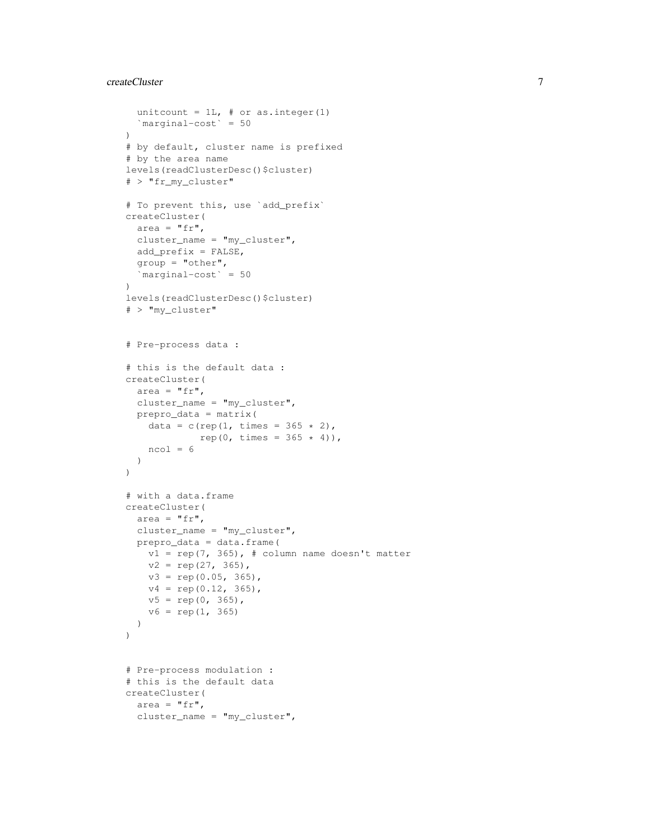#### createCluster 7

```
unitcount = 1L, # or as. integer(1)
  `marginal-cost` = 50
\lambda# by default, cluster name is prefixed
# by the area name
levels(readClusterDesc()$cluster)
# > "fr_my_cluster"
# To prevent this, use `add_prefix`
createCluster(
  area = "fr",cluster_name = "my_cluster",
  add_prefix = FALSE,
  group = "other",
  `marginal-cost` = 50
\lambdalevels(readClusterDesc()$cluster)
# > "my_cluster"
# Pre-process data :
# this is the default data :
createCluster(
 area = "fr",cluster_name = "my_cluster",
  prepro_data = matrix(
   data = c(rep(1, times = 365 * 2),
            rep(0, times = 365 * 4),
   ncol = 6)
\overline{)}# with a data.frame
createCluster(
  area = "fr",cluster_name = "my_cluster",
  prepro_data = data.frame(
    v1 = rep(7, 365), # column name doesn't matter
    v2 = rep(27, 365),
    v3 = rep(0.05, 365),
   v4 = rep(0.12, 365),
   v5 = rep(0, 365),
   v6 = rep(1, 365))
)
# Pre-process modulation :
# this is the default data
createCluster(
  area = "fr",cluster_name = "my_cluster",
```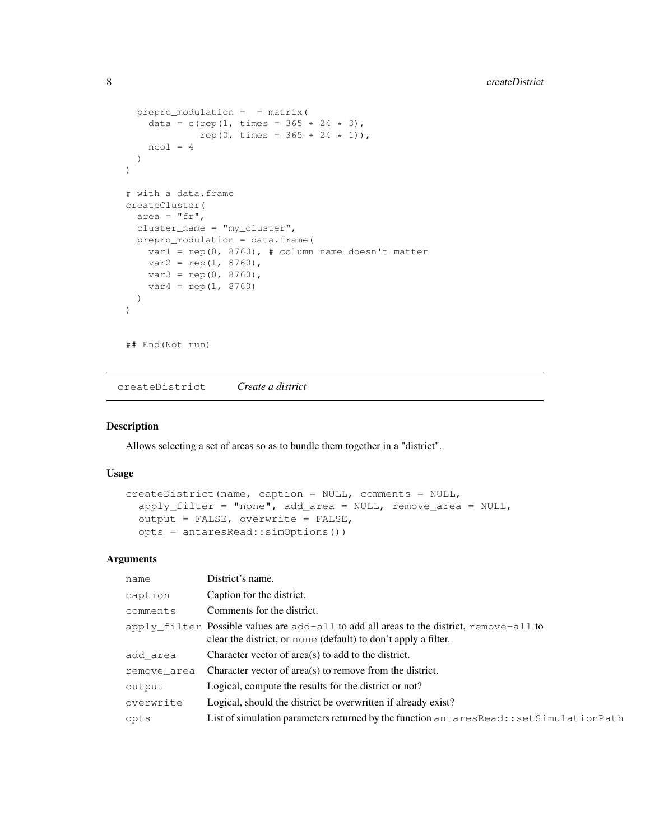```
prepro\_modulation = = matrix(data = c(rep(1, times = 365 * 24 * 3),
             rep(0, times = 365 \times 24 \times 1)),
   ncol = 4)
\overline{)}# with a data.frame
createCluster(
  area = "fr",cluster_name = "my_cluster",
  prepro_modulation = data.frame(
    var1 = rep(0, 8760), # column name doesn't matter
    var2 = rep(1, 8760),
   var3 = rep(0, 8760),
    var4 = rep(1, 8760))
)
## End(Not run)
```
createDistrict *Create a district*

#### Description

Allows selecting a set of areas so as to bundle them together in a "district".

#### Usage

```
createDistrict(name, caption = NULL, comments = NULL,
  apply_filter = "none", add_area = NULL, remove_area = NULL,
  output = FALSE, overwrite = FALSE,
  opts = antaresRead::simOptions())
```

| name        | District's name.                                                                                                                                               |
|-------------|----------------------------------------------------------------------------------------------------------------------------------------------------------------|
| caption     | Caption for the district.                                                                                                                                      |
| comments    | Comments for the district.                                                                                                                                     |
|             | $apply_fitter$ Possible values are $add-all$ to add all areas to the district, remove-all to<br>clear the district, or none (default) to don't apply a filter. |
| add area    | Character vector of area(s) to add to the district.                                                                                                            |
| remove area | Character vector of area(s) to remove from the district.                                                                                                       |
| output      | Logical, compute the results for the district or not?                                                                                                          |
| overwrite   | Logical, should the district be overwritten if already exist?                                                                                                  |
| opts        | List of simulation parameters returned by the function antares Read:: set Simulation Path                                                                      |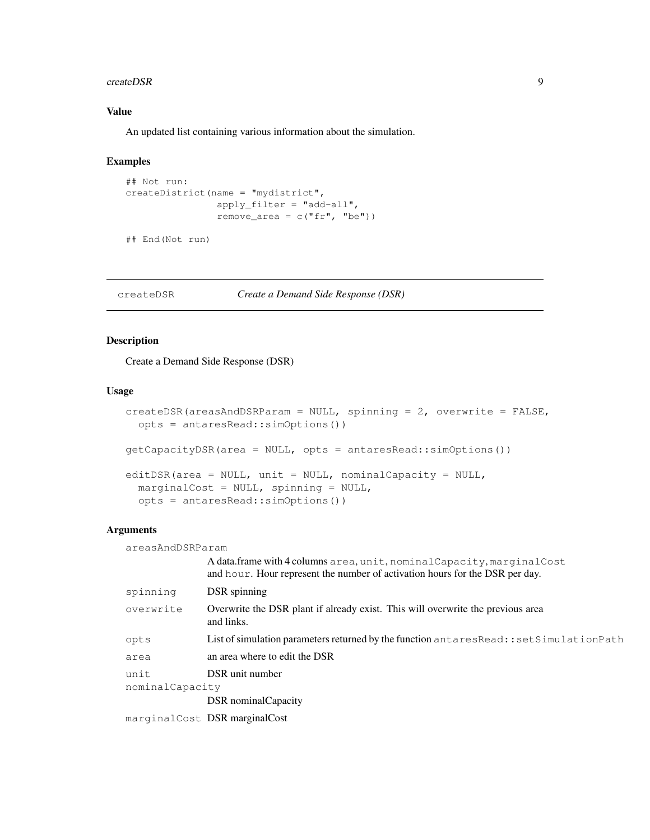#### createDSR 9

# Value

An updated list containing various information about the simulation.

#### Examples

```
## Not run:
createDistrict(name = "mydistrict",
               apply_filter = "add-all",
               remove_area = c("fr", "be")
```
## End(Not run)

createDSR *Create a Demand Side Response (DSR)*

#### Description

Create a Demand Side Response (DSR)

# Usage

```
createDSR(areasAndDSRParam = NULL, spinning = 2, overwrite = FALSE,
  opts = antaresRead::simOptions())
getCapacityDSR(area = NULL, opts = antaresRead::simOptions())
editDSR(area = NULL, unit = NULL, nominalCapacity = NULL,
 marginalCost = NULL, spinning = NULL,
  opts = antaresRead::simOptions())
```
#### Arguments

areasAndDSRParam

|                 | A data.frame with 4 columns area, unit, nominal Capacity, marginal Cost<br>and hour. Hour represent the number of activation hours for the DSR per day. |
|-----------------|---------------------------------------------------------------------------------------------------------------------------------------------------------|
| spinning        | DSR spinning                                                                                                                                            |
| overwrite       | Overwrite the DSR plant if already exist. This will overwrite the previous area<br>and links.                                                           |
| opts            | List of simulation parameters returned by the function antares Read:: set Simulation Path                                                               |
| area            | an area where to edit the DSR                                                                                                                           |
| unit            | DSR unit number                                                                                                                                         |
| nominalCapacity |                                                                                                                                                         |
|                 | DSR nominal Capacity                                                                                                                                    |
|                 | marginalCost <b>DSR marginalCost</b>                                                                                                                    |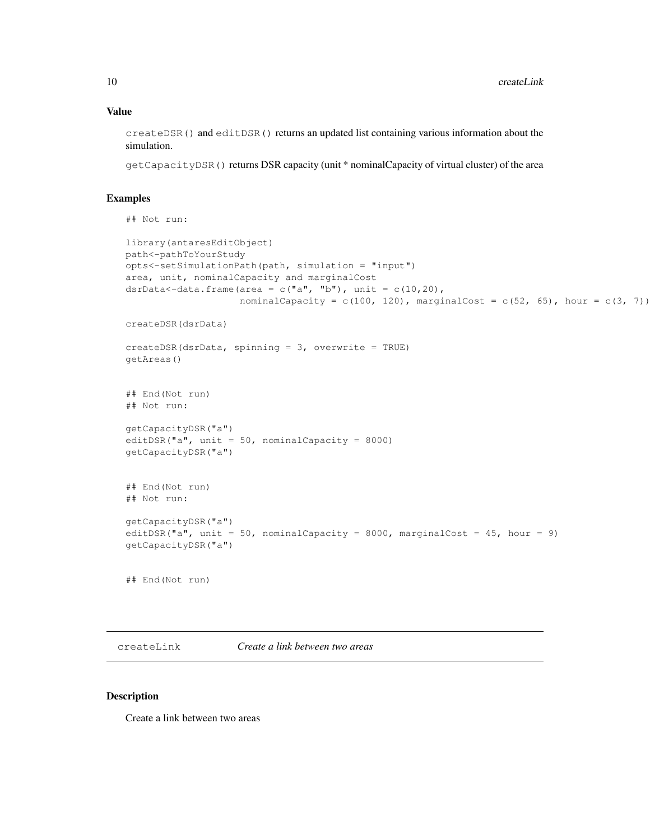#### Value

createDSR() and editDSR() returns an updated list containing various information about the simulation.

getCapacityDSR() returns DSR capacity (unit \* nominalCapacity of virtual cluster) of the area

#### Examples

```
## Not run:
library(antaresEditObject)
path<-pathToYourStudy
opts<-setSimulationPath(path, simulation = "input")
area, unit, nominalCapacity and marginalCost
dsrData<-data.frame(area = c("a", "b"), unit = c(10,20),
                    nominalCapacity = c(100, 120), marginalCost = c(52, 65), hour = c(3, 7))
createDSR(dsrData)
createDSR(dsrData, spinning = 3, overwrite = TRUE)
getAreas()
## End(Not run)
## Not run:
getCapacityDSR("a")
editDSR("a", unit = 50, nominalCapacity = 8000)
getCapacityDSR("a")
## End(Not run)
## Not run:
getCapacityDSR("a")
editDSR("a", unit = 50, nominalCapacity = 8000, marginalCost = 45, hour = 9)
getCapacityDSR("a")
## End(Not run)
```
createLink *Create a link between two areas*

#### Description

Create a link between two areas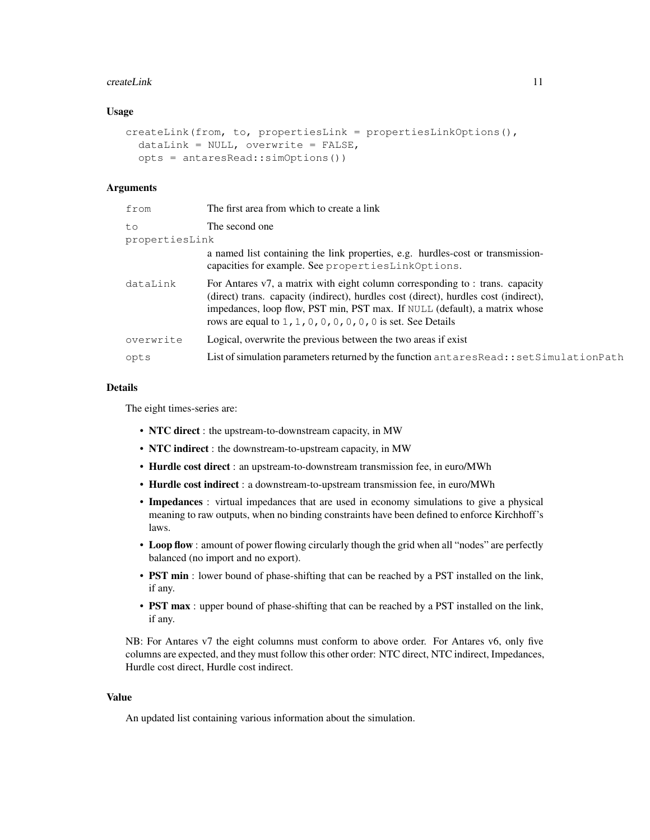#### createLink 11

#### Usage

```
createLink(from, to, propertiesLink = propertiesLinkOptions(),
 dataLink = NULL, overwrite = FALSE,
  opts = antaresRead::simOptions())
```
# Arguments

| from           | The first area from which to create a link                                                                                                                                                                                                                                                                            |
|----------------|-----------------------------------------------------------------------------------------------------------------------------------------------------------------------------------------------------------------------------------------------------------------------------------------------------------------------|
| to             | The second one                                                                                                                                                                                                                                                                                                        |
| propertiesLink |                                                                                                                                                                                                                                                                                                                       |
|                | a named list containing the link properties, e.g. hurdles-cost or transmission-<br>capacities for example. See propertiesLinkOptions.                                                                                                                                                                                 |
| dataLink       | For Antares v7, a matrix with eight column corresponding to : trans. capacity<br>(direct) trans. capacity (indirect), hurdles cost (direct), hurdles cost (indirect),<br>impedances, loop flow, PST min, PST max. If NULL (default), a matrix whose<br>rows are equal to $1, 1, 0, 0, 0, 0, 0, 0$ is set. See Details |
| overwrite      | Logical, overwrite the previous between the two areas if exist                                                                                                                                                                                                                                                        |
| opts           | List of simulation parameters returned by the function antares Read:: set Simulation Path                                                                                                                                                                                                                             |
|                |                                                                                                                                                                                                                                                                                                                       |

#### Details

The eight times-series are:

- NTC direct : the upstream-to-downstream capacity, in MW
- NTC indirect : the downstream-to-upstream capacity, in MW
- Hurdle cost direct : an upstream-to-downstream transmission fee, in euro/MWh
- Hurdle cost indirect : a downstream-to-upstream transmission fee, in euro/MWh
- Impedances : virtual impedances that are used in economy simulations to give a physical meaning to raw outputs, when no binding constraints have been defined to enforce Kirchhoff's laws.
- Loop flow : amount of power flowing circularly though the grid when all "nodes" are perfectly balanced (no import and no export).
- PST min : lower bound of phase-shifting that can be reached by a PST installed on the link, if any.
- PST max : upper bound of phase-shifting that can be reached by a PST installed on the link, if any.

NB: For Antares v7 the eight columns must conform to above order. For Antares v6, only five columns are expected, and they must follow this other order: NTC direct, NTC indirect, Impedances, Hurdle cost direct, Hurdle cost indirect.

#### Value

An updated list containing various information about the simulation.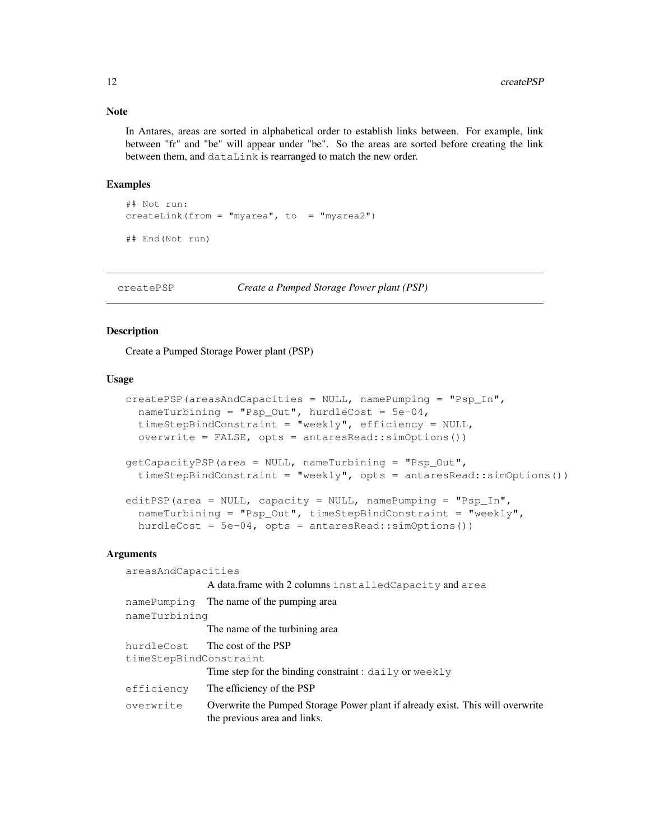#### Note

In Antares, areas are sorted in alphabetical order to establish links between. For example, link between "fr" and "be" will appear under "be". So the areas are sorted before creating the link between them, and dataLink is rearranged to match the new order.

#### Examples

```
## Not run:
createLink(from = "myarea", to = "myarea2")
## End(Not run)
```
createPSP *Create a Pumped Storage Power plant (PSP)*

#### Description

Create a Pumped Storage Power plant (PSP)

#### Usage

```
createPSP(areasAndCapacities = NULL, namePumping = "Psp_In",nameTurbining = "Psp_Out", hurdleCost = 5e-04,
  timeStepBindConstraint = "weekly", efficiency = NULL,
 overwrite = FALSE, opts = antaresRead::simOptions())
getCapacityPSP(area = NULL, nameTurbining = "Psp_Out",
  timeStepBindConstraint = "weekly", opts = antaresRead::simOptions())
editPSP(area = NULL, capacity = NULL, namePumping = "Psp_In",
  nameTurbining = "Psp_Out", timeStepBindConstraint = "weekly",
 hurdleCost = 5e-04, opts = antaresRead::simOptions())
```

| areasAndCapacities     |                                                                                                                |
|------------------------|----------------------------------------------------------------------------------------------------------------|
|                        | A data.frame with 2 columns installed Capacity and area                                                        |
| namePumping            | The name of the pumping area                                                                                   |
| nameTurbining          |                                                                                                                |
|                        | The name of the turbining area.                                                                                |
|                        | hurdleCost The cost of the PSP                                                                                 |
| timeStepBindConstraint |                                                                                                                |
|                        | Time step for the binding constraint : $daily$ or $weakly$                                                     |
| efficiency             | The efficiency of the PSP                                                                                      |
| overwrite              | Overwrite the Pumped Storage Power plant if already exist. This will overwrite<br>the previous area and links. |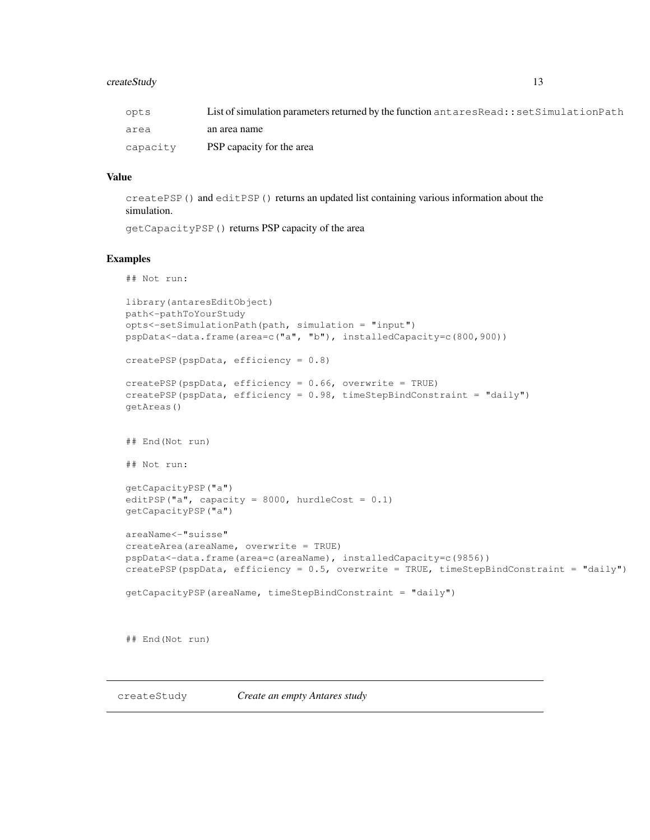#### createStudy 13

| opts     | List of simulation parameters returned by the function antares Read:: set Simulation Path |
|----------|-------------------------------------------------------------------------------------------|
| area     | an area name                                                                              |
| capacity | PSP capacity for the area                                                                 |

#### Value

createPSP() and editPSP() returns an updated list containing various information about the simulation.

getCapacityPSP() returns PSP capacity of the area

#### Examples

## Not run:

```
library(antaresEditObject)
path<-pathToYourStudy
opts<-setSimulationPath(path, simulation = "input")
pspData<-data.frame(area=c("a", "b"), installedCapacity=c(800,900))
createPSP(pspData, efficiency = 0.8)
createPSP(pspData, efficiency = 0.66, overwrite = TRUE)
createPSP(pspData, efficiency = 0.98, timeStepBindConstraint = "daily")
getAreas()
## End(Not run)
## Not run:
getCapacityPSP("a")
editPSP("a", capacity = 8000, hurdleCost = 0.1)
getCapacityPSP("a")
areaName<-"suisse"
createArea(areaName, overwrite = TRUE)
pspData<-data.frame(area=c(areaName), installedCapacity=c(9856))
createPSP(pspData, efficiency = 0.5, overwrite = TRUE, timeStepBindConstraint = "daily")
getCapacityPSP(areaName, timeStepBindConstraint = "daily")
## End(Not run)
```
createStudy *Create an empty Antares study*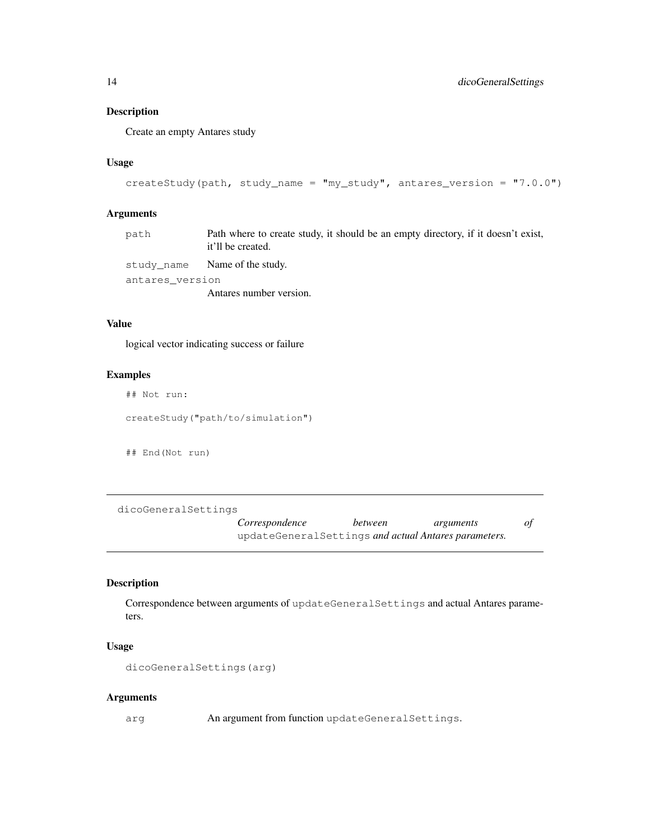#### Description

Create an empty Antares study

# Usage

```
createStudy(path, study_name = "my_study", antares_version = "7.0.0")
```
# Arguments

| path            | Path where to create study, it should be an empty directory, if it doesn't exist,<br>it'll be created. |
|-----------------|--------------------------------------------------------------------------------------------------------|
|                 | study name Name of the study.                                                                          |
| antares version |                                                                                                        |
|                 | Antares number version.                                                                                |

# Value

logical vector indicating success or failure

#### Examples

## Not run:

createStudy("path/to/simulation")

## End(Not run)

dicoGeneralSettings

*Correspondence between arguments of* updateGeneralSettings *and actual Antares parameters.*

# Description

Correspondence between arguments of updateGeneralSettings and actual Antares parameters.

#### Usage

```
dicoGeneralSettings(arg)
```
#### Arguments

arg An argument from function updateGeneralSettings.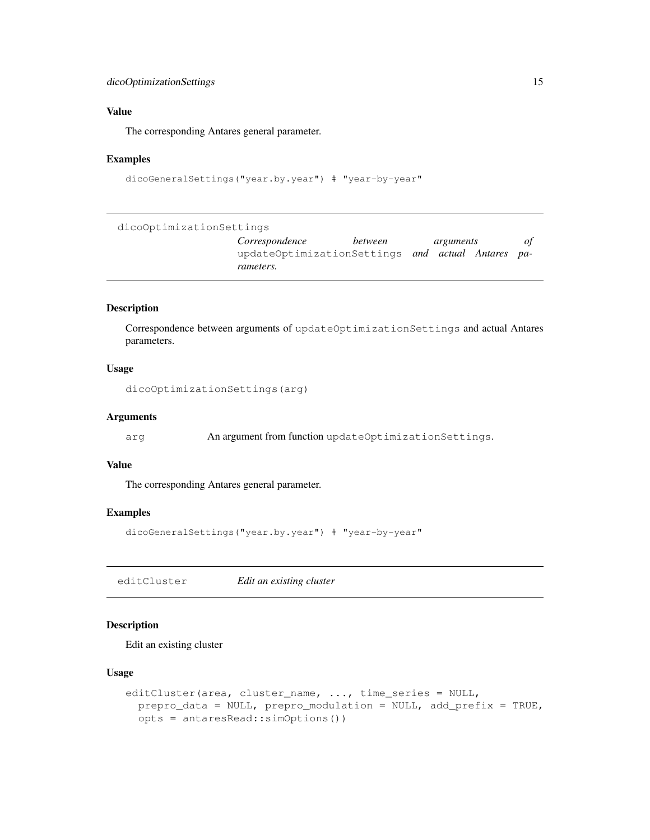# dicoOptimizationSettings 15

#### Value

The corresponding Antares general parameter.

#### Examples

```
dicoGeneralSettings("year.by.year") # "year-by-year"
```
dicoOptimizationSettings

*Correspondence between arguments of* updateOptimizationSettings *and actual Antares parameters.*

# Description

Correspondence between arguments of updateOptimizationSettings and actual Antares parameters.

#### Usage

dicoOptimizationSettings(arg)

#### Arguments

arg An argument from function updateOptimizationSettings.

#### Value

The corresponding Antares general parameter.

# Examples

```
dicoGeneralSettings("year.by.year") # "year-by-year"
```
editCluster *Edit an existing cluster*

# Description

Edit an existing cluster

#### Usage

```
editCluster(area, cluster_name, ..., time_series = NULL,
 prepro_data = NULL, prepro_modulation = NULL, add_prefix = TRUE,
 opts = antaresRead::simOptions())
```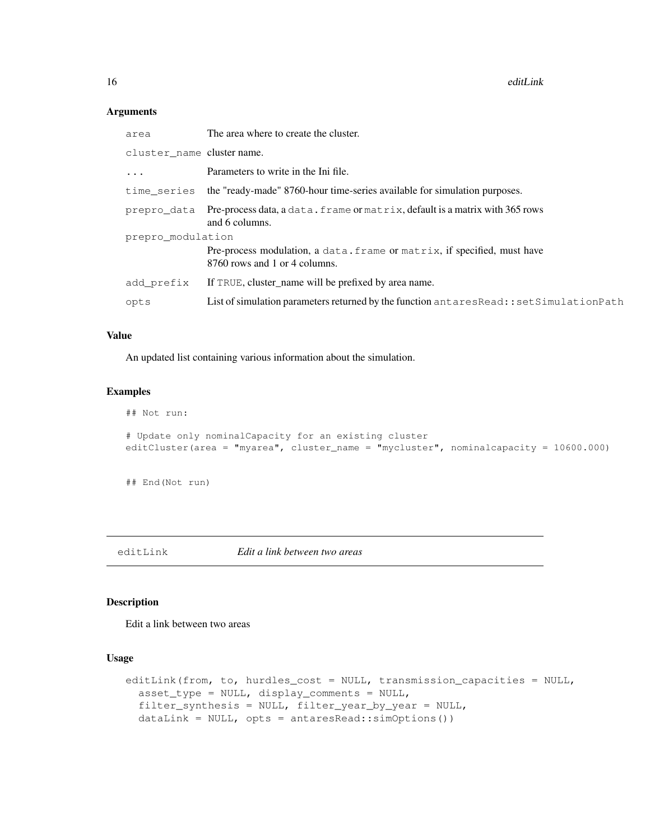# Arguments

| area                       | The area where to create the cluster.                                                                     |  |
|----------------------------|-----------------------------------------------------------------------------------------------------------|--|
| cluster_name cluster name. |                                                                                                           |  |
| $\ddots$                   | Parameters to write in the Ini file.                                                                      |  |
| time series                | the "ready-made" 8760-hour time-series available for simulation purposes.                                 |  |
| prepro data                | Pre-process data, a data. frame or matrix, default is a matrix with 365 rows<br>and 6 columns.            |  |
| prepro modulation          |                                                                                                           |  |
|                            | Pre-process modulation, a data. frame or matrix, if specified, must have<br>8760 rows and 1 or 4 columns. |  |
| add prefix                 | If TRUE, cluster_name will be prefixed by area name.                                                      |  |
| opts                       | List of simulation parameters returned by the function antares Read:: set Simulation Path                 |  |

#### Value

An updated list containing various information about the simulation.

# Examples

```
## Not run:
# Update only nominalCapacity for an existing cluster
editCluster(area = "myarea", cluster_name = "mycluster", nominalcapacity = 10600.000)
```
## End(Not run)

editLink *Edit a link between two areas*

# Description

Edit a link between two areas

#### Usage

```
editLink(from, to, hurdles_cost = NULL, transmission_capacities = NULL,
  asset_type = NULL, display_comments = NULL,
  filter_synthesis = NULL, filter_year_by_year = NULL,
 dataLink = NULL, opts = antaresRead::simOptions())
```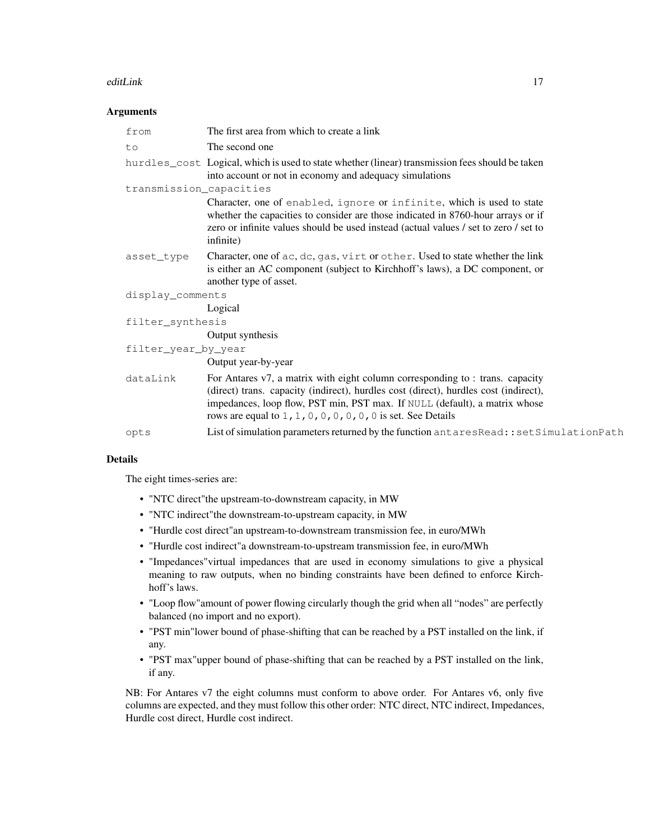#### editLink 17

#### Arguments

| from                    | The first area from which to create a link                                                                                                                                                                                                                                                                            |
|-------------------------|-----------------------------------------------------------------------------------------------------------------------------------------------------------------------------------------------------------------------------------------------------------------------------------------------------------------------|
| to                      | The second one                                                                                                                                                                                                                                                                                                        |
|                         | hurdles_cost Logical, which is used to state whether (linear) transmission fees should be taken<br>into account or not in economy and adequacy simulations                                                                                                                                                            |
| transmission_capacities |                                                                                                                                                                                                                                                                                                                       |
|                         | Character, one of enabled, ignore or infinite, which is used to state<br>whether the capacities to consider are those indicated in 8760-hour arrays or if<br>zero or infinite values should be used instead (actual values / set to zero / set to<br>infinite)                                                        |
| asset_type              | Character, one of ac, dc, gas, virt or other. Used to state whether the link<br>is either an AC component (subject to Kirchhoff's laws), a DC component, or<br>another type of asset.                                                                                                                                 |
| display_comments        |                                                                                                                                                                                                                                                                                                                       |
|                         | Logical                                                                                                                                                                                                                                                                                                               |
| filter_synthesis        |                                                                                                                                                                                                                                                                                                                       |
|                         | Output synthesis                                                                                                                                                                                                                                                                                                      |
| filter_year_by_year     |                                                                                                                                                                                                                                                                                                                       |
|                         | Output year-by-year                                                                                                                                                                                                                                                                                                   |
| dataLink                | For Antares v7, a matrix with eight column corresponding to : trans. capacity<br>(direct) trans. capacity (indirect), hurdles cost (direct), hurdles cost (indirect),<br>impedances, loop flow, PST min, PST max. If NULL (default), a matrix whose<br>rows are equal to $1, 1, 0, 0, 0, 0, 0, 0$ is set. See Details |
| opts                    | List of simulation parameters returned by the function antaresRead::setSimulationPath                                                                                                                                                                                                                                 |

#### Details

The eight times-series are:

- "NTC direct"the upstream-to-downstream capacity, in MW
- "NTC indirect"the downstream-to-upstream capacity, in MW
- "Hurdle cost direct"an upstream-to-downstream transmission fee, in euro/MWh
- "Hurdle cost indirect"a downstream-to-upstream transmission fee, in euro/MWh
- "Impedances"virtual impedances that are used in economy simulations to give a physical meaning to raw outputs, when no binding constraints have been defined to enforce Kirchhoff's laws.
- "Loop flow"amount of power flowing circularly though the grid when all "nodes" are perfectly balanced (no import and no export).
- "PST min"lower bound of phase-shifting that can be reached by a PST installed on the link, if any.
- "PST max"upper bound of phase-shifting that can be reached by a PST installed on the link, if any.

NB: For Antares v7 the eight columns must conform to above order. For Antares v6, only five columns are expected, and they must follow this other order: NTC direct, NTC indirect, Impedances, Hurdle cost direct, Hurdle cost indirect.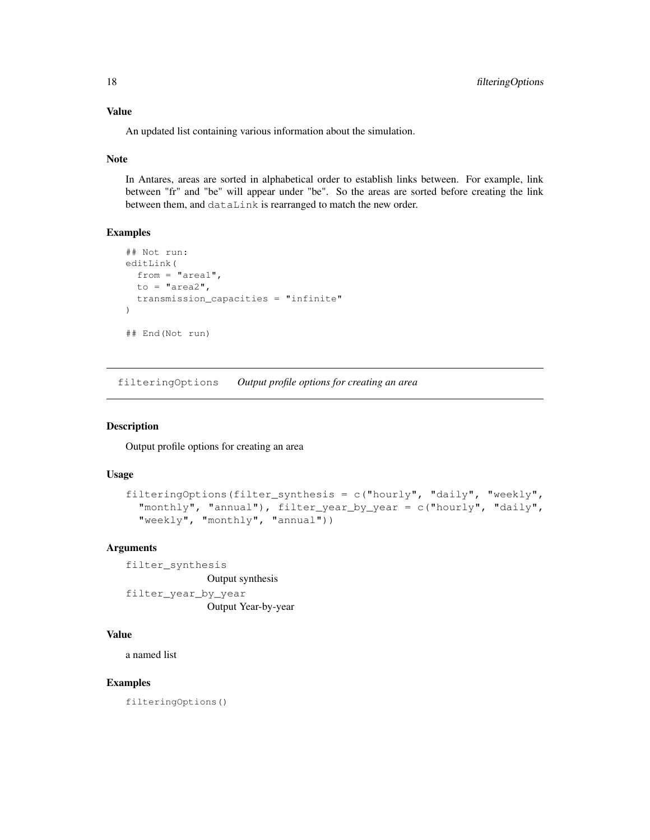An updated list containing various information about the simulation.

#### Note

In Antares, areas are sorted in alphabetical order to establish links between. For example, link between "fr" and "be" will appear under "be". So the areas are sorted before creating the link between them, and dataLink is rearranged to match the new order.

# Examples

```
## Not run:
editLink(
 from = "area1",
  to = "area?",
  transmission_capacities = "infinite"
)
## End(Not run)
```
filteringOptions *Output profile options for creating an area*

# Description

Output profile options for creating an area

#### Usage

```
filteringOptions(filter_synthesis = c("hourly", "daily", "weekly","monthly", "annual"), filter_year_by_year = c("hourly", "daily",
  "weekly", "monthly", "annual"))
```
# Arguments

filter\_synthesis Output synthesis filter\_year\_by\_year

Output Year-by-year

# Value

a named list

#### Examples

filteringOptions()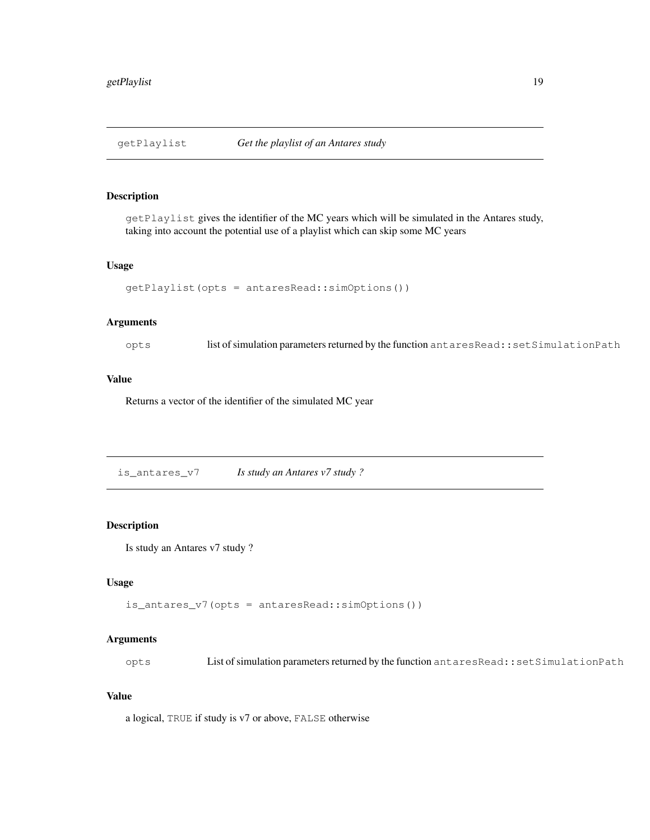#### Description

getPlaylist gives the identifier of the MC years which will be simulated in the Antares study, taking into account the potential use of a playlist which can skip some MC years

#### Usage

```
getPlaylist(opts = antaresRead::simOptions())
```
# Arguments

opts list of simulation parameters returned by the function antaresRead::setSimulationPath

# Value

Returns a vector of the identifier of the simulated MC year

is\_antares\_v7 *Is study an Antares v7 study ?*

#### Description

Is study an Antares v7 study ?

# Usage

is\_antares\_v7(opts = antaresRead::simOptions())

#### Arguments

opts List of simulation parameters returned by the function antaresRead::setSimulationPath

# Value

a logical, TRUE if study is v7 or above, FALSE otherwise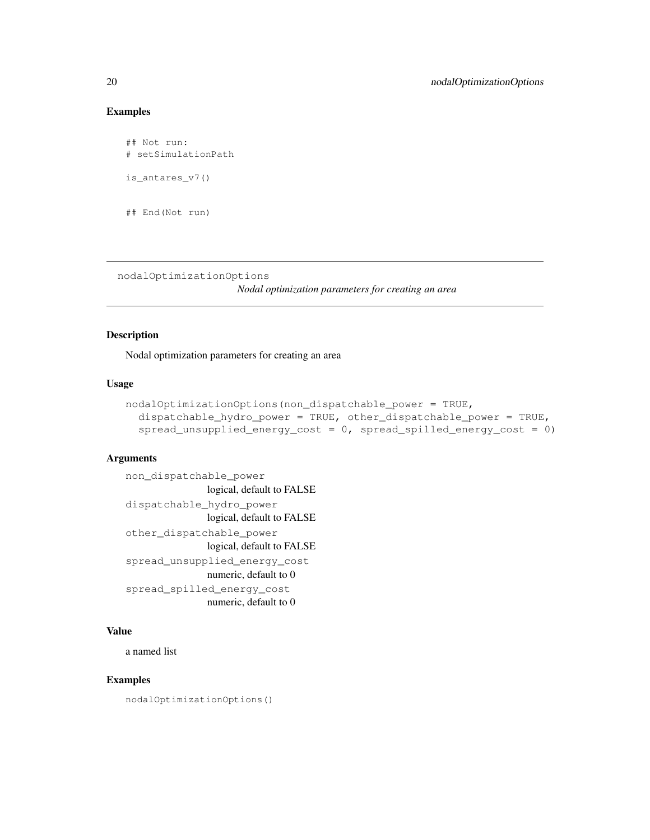# Examples

```
## Not run:
# setSimulationPath
is_antares_v7()
## End(Not run)
```
nodalOptimizationOptions

*Nodal optimization parameters for creating an area*

#### Description

Nodal optimization parameters for creating an area

# Usage

```
nodalOptimizationOptions(non_dispatchable_power = TRUE,
  dispatchable_hydro_power = TRUE, other_dispatchable_power = TRUE,
  spread_unsupplied_energy_cost = 0, spread_spilled_energy_cost = 0)
```
#### Arguments

```
non_dispatchable_power
               logical, default to FALSE
dispatchable_hydro_power
               logical, default to FALSE
other_dispatchable_power
               logical, default to FALSE
spread_unsupplied_energy_cost
               numeric, default to 0
spread_spilled_energy_cost
               numeric, default to 0
```
# Value

a named list

#### Examples

nodalOptimizationOptions()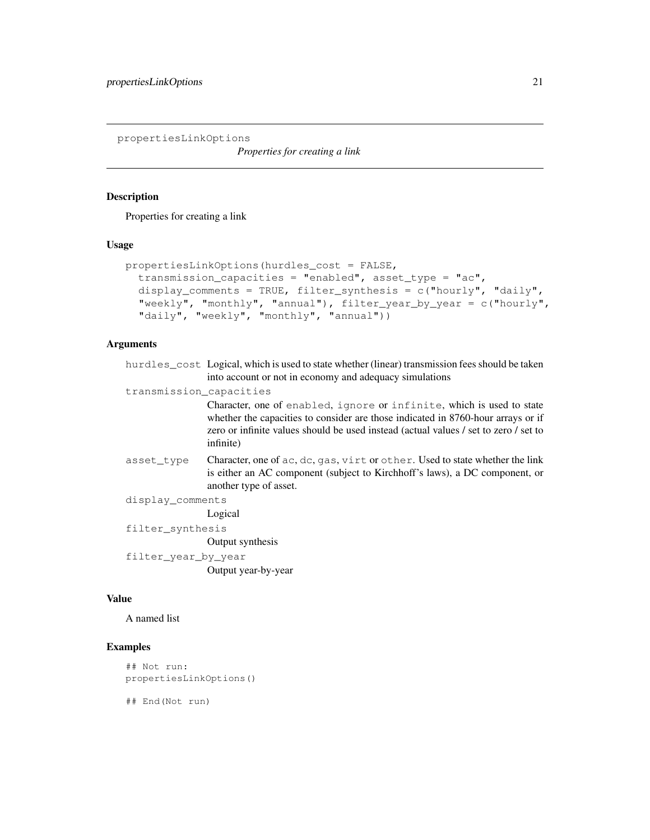propertiesLinkOptions

*Properties for creating a link*

# Description

Properties for creating a link

# Usage

```
propertiesLinkOptions(hurdles_cost = FALSE,
  transmission_capacities = "enabled", asset_type = "ac",
 display_comments = TRUE, filter_synthesis = c("hourly", "daily","weekly", "monthly", "annual"), filter_year_by_year = c("hourly",
  "daily", "weekly", "monthly", "annual"))
```
# Arguments

|                         | hurdles_cost Logical, which is used to state whether (linear) transmission fees should be taken<br>into account or not in economy and adequacy simulations                                                                                                     |
|-------------------------|----------------------------------------------------------------------------------------------------------------------------------------------------------------------------------------------------------------------------------------------------------------|
| transmission capacities |                                                                                                                                                                                                                                                                |
|                         | Character, one of enabled, ignore or infinite, which is used to state<br>whether the capacities to consider are those indicated in 8760-hour arrays or if<br>zero or infinite values should be used instead (actual values / set to zero / set to<br>infinite) |
| asset type              | Character, one of ac, dc, gas, virt or other. Used to state whether the link<br>is either an AC component (subject to Kirchhoff's laws), a DC component, or<br>another type of asset.                                                                          |
| display_comments        |                                                                                                                                                                                                                                                                |
|                         | Logical                                                                                                                                                                                                                                                        |
| filter synthesis        |                                                                                                                                                                                                                                                                |
|                         | Output synthesis                                                                                                                                                                                                                                               |
| filter_year_by_year     |                                                                                                                                                                                                                                                                |
|                         | Output year-by-year                                                                                                                                                                                                                                            |

#### Value

A named list

# Examples

```
## Not run:
propertiesLinkOptions()
```
## End(Not run)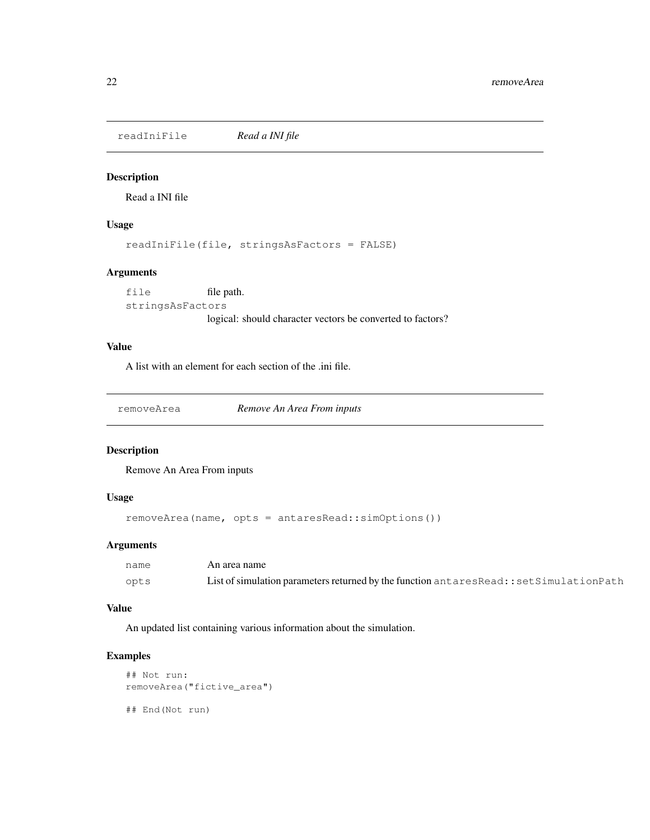readIniFile *Read a INI file*

#### Description

Read a INI file

#### Usage

readIniFile(file, stringsAsFactors = FALSE)

# Arguments

```
file file path.
stringsAsFactors
               logical: should character vectors be converted to factors?
```
# Value

A list with an element for each section of the .ini file.

removeArea *Remove An Area From inputs*

# Description

Remove An Area From inputs

#### Usage

```
removeArea(name, opts = antaresRead::simOptions())
```
# Arguments

| name | An area name                                                                              |
|------|-------------------------------------------------------------------------------------------|
| opts | List of simulation parameters returned by the function antares Read:: set Simulation Path |

#### Value

An updated list containing various information about the simulation.

```
## Not run:
removeArea("fictive_area")
## End(Not run)
```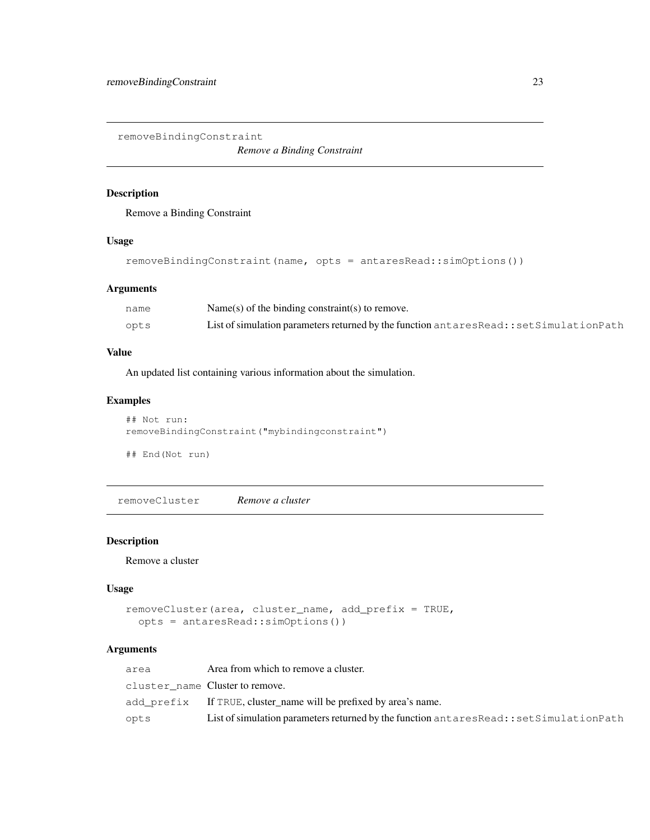removeBindingConstraint

*Remove a Binding Constraint*

#### Description

Remove a Binding Constraint

#### Usage

```
removeBindingConstraint(name, opts = antaresRead::simOptions())
```
# Arguments

| name | Name(s) of the binding constraint(s) to remove.                                       |
|------|---------------------------------------------------------------------------------------|
| opts | List of simulation parameters returned by the function antaresRead::setSimulationPath |

# Value

An updated list containing various information about the simulation.

# Examples

```
## Not run:
removeBindingConstraint("mybindingconstraint")
```
## End(Not run)

removeCluster *Remove a cluster*

# Description

Remove a cluster

# Usage

```
removeCluster(area, cluster_name, add_prefix = TRUE,
  opts = antaresRead::simOptions())
```

| area | Area from which to remove a cluster.                                                  |
|------|---------------------------------------------------------------------------------------|
|      | cluster name Clustertoremove.                                                         |
|      | add_prefix If TRUE, cluster_name will be prefixed by area's name.                     |
| opts | List of simulation parameters returned by the function antaresRead::setSimulationPath |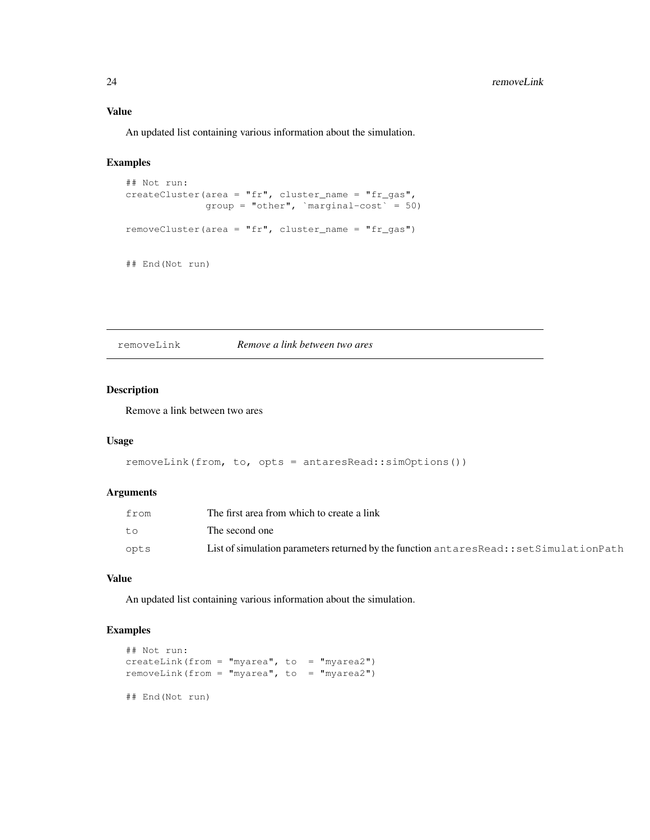#### Value

An updated list containing various information about the simulation.

# Examples

```
## Not run:
createCluster(area = "fr", cluster_name = "fr_gas",
              group = "other", `marginal-cost` = 50)
removeCluster(area = "fr", cluster_name = "fr_gas")
## End(Not run)
```
removeLink *Remove a link between two ares*

#### Description

Remove a link between two ares

#### Usage

```
removeLink(from, to, opts = antaresRead::simOptions())
```
#### Arguments

| from | The first area from which to create a link                                                |
|------|-------------------------------------------------------------------------------------------|
| t.o  | The second one                                                                            |
| opts | List of simulation parameters returned by the function antares Read:: set Simulation Path |

#### Value

An updated list containing various information about the simulation.

```
## Not run:
createLink(from = "myarea", to = "myarea2")
removeLink(from = "myarea", to = "myarea2")
## End(Not run)
```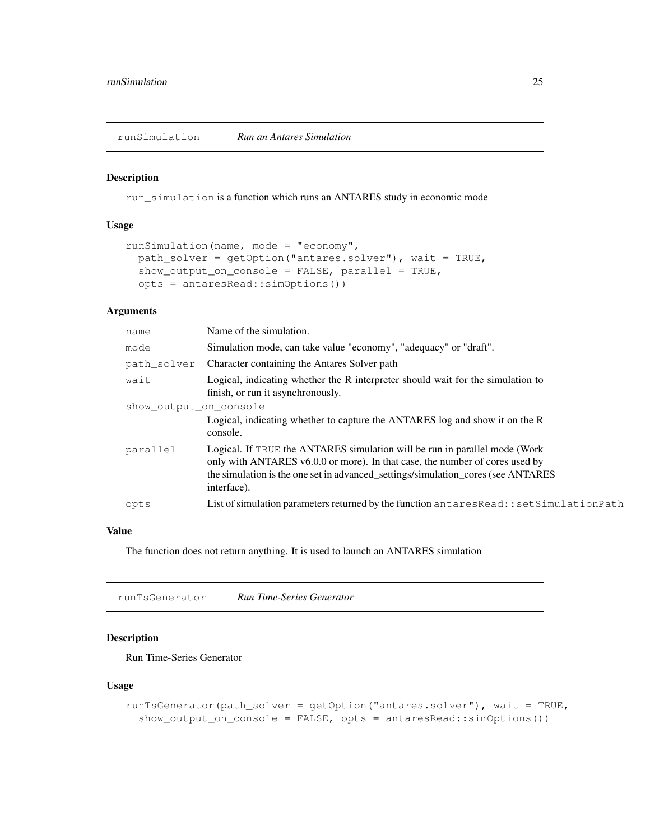runSimulation *Run an Antares Simulation*

#### Description

run\_simulation is a function which runs an ANTARES study in economic mode

#### Usage

```
runSimulation(name, mode = "economy",
 path_solver = getOption("antares.solver"), wait = TRUE,
  show\_output\_on\_cosole = FALSE, parallel = TRUE,opts = antaresRead::simOptions())
```
#### Arguments

| name                   | Name of the simulation.                                                                                                                                                                                                                                       |
|------------------------|---------------------------------------------------------------------------------------------------------------------------------------------------------------------------------------------------------------------------------------------------------------|
| mode                   | Simulation mode, can take value "economy", "adequacy" or "draft".                                                                                                                                                                                             |
| path solver            | Character containing the Antares Solver path                                                                                                                                                                                                                  |
| wait                   | Logical, indicating whether the R interpreter should wait for the simulation to<br>finish, or run it asynchronously.                                                                                                                                          |
| show output on console |                                                                                                                                                                                                                                                               |
|                        | Logical, indicating whether to capture the ANTARES log and show it on the R<br>console.                                                                                                                                                                       |
| parallel               | Logical. If TRUE the ANTARES simulation will be run in parallel mode (Work<br>only with ANTARES v6.0.0 or more). In that case, the number of cores used by<br>the simulation is the one set in advanced_settings/simulation_cores (see ANTARES<br>interface). |
| opts                   | List of simulation parameters returned by the function antares Read:: set Simulation Path                                                                                                                                                                     |

# Value

The function does not return anything. It is used to launch an ANTARES simulation

runTsGenerator *Run Time-Series Generator*

#### Description

Run Time-Series Generator

#### Usage

```
runTsGenerator(path_solver = getOption("antares.solver"), wait = TRUE,
  show_output_on_console = FALSE, opts = antaresRead::simOptions())
```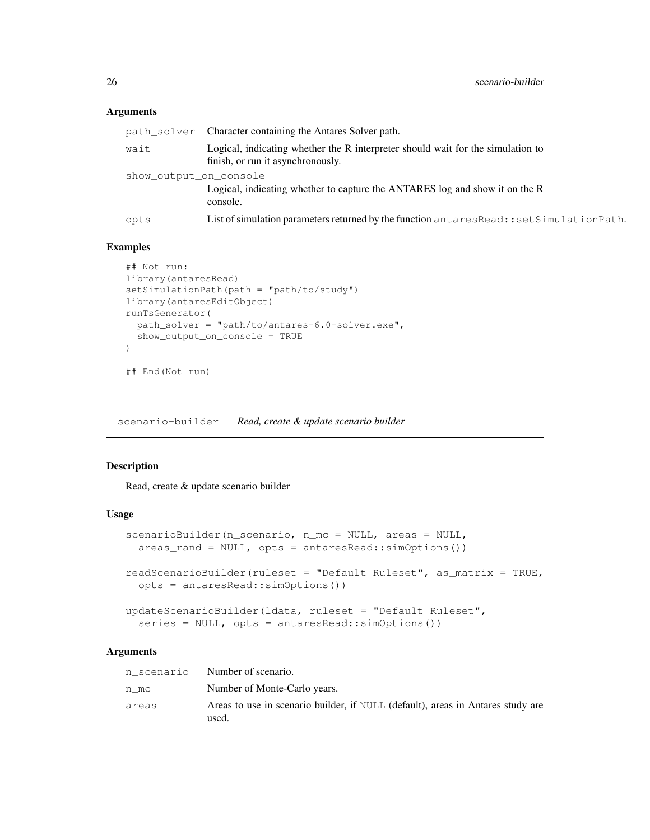#### Arguments

|                        | path_solver Character containing the Antares Solver path.                                                            |
|------------------------|----------------------------------------------------------------------------------------------------------------------|
| wait                   | Logical, indicating whether the R interpreter should wait for the simulation to<br>finish, or run it asynchronously. |
| show output on console | Logical, indicating whether to capture the ANTARES log and show it on the R<br>console.                              |
| opts                   | List of simulation parameters returned by the function antaresRead::setSimulationPath.                               |

#### Examples

```
## Not run:
library(antaresRead)
setSimulationPath(path = "path/to/study")
library(antaresEditObject)
runTsGenerator(
 path_solver = "path/to/antares-6.0-solver.exe",
  show_output_on_console = TRUE
)
## End(Not run)
```
scenario-builder *Read, create & update scenario builder*

#### Description

Read, create & update scenario builder

#### Usage

```
scenarioBuilder(n_scenario, n_mc = NULL, areas = NULL,
  areas_rand = NULL, opts = antaresRead::simOptions())
readScenarioBuilder(ruleset = "Default Ruleset", as_matrix = TRUE,
  opts = antaresRead::simOptions())
updateScenarioBuilder(ldata, ruleset = "Default Ruleset",
```

```
series = NULL, opts = antaresRead::simOptions())
```

| n scenario | Number of scenario.                                                                      |
|------------|------------------------------------------------------------------------------------------|
| n mc       | Number of Monte-Carlo years.                                                             |
| areas      | Areas to use in scenario builder, if NULL (default), areas in Antares study are<br>used. |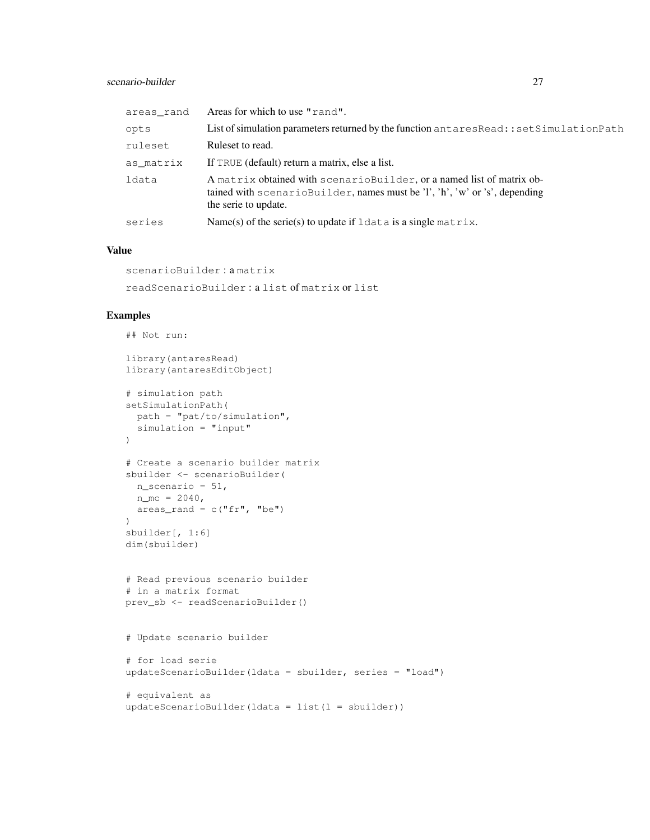#### scenario-builder 27

| areas rand | Areas for which to use "rand".                                                                                                                                               |
|------------|------------------------------------------------------------------------------------------------------------------------------------------------------------------------------|
| opts       | List of simulation parameters returned by the function antares Read:: set Simulation Path                                                                                    |
| ruleset    | Ruleset to read.                                                                                                                                                             |
| as matrix  | If TRUE (default) return a matrix, else a list.                                                                                                                              |
| ldata      | A matrix obtained with scenario Builder, or a named list of matrix ob-<br>tained with scenarioBuilder, names must be 'l', 'h', 'w' or 's', depending<br>the serie to update. |
| series     | Name(s) of the serie(s) to update if $ldata$ is a single matrix.                                                                                                             |

#### Value

```
scenarioBuilder : a matrix
readScenarioBuilder : a list of matrix or list
```

```
## Not run:
library(antaresRead)
library(antaresEditObject)
# simulation path
setSimulationPath(
 path = "pat/to/simulation",
 simulation = "input"
\lambda# Create a scenario builder matrix
sbuilder <- scenarioBuilder(
  n_scenario = 51,
 n_{\text{m}} = 2040,
 area\_rand = c("fr", "be"))
sbuilder[, 1:6]
dim(sbuilder)
# Read previous scenario builder
# in a matrix format
prev_sb <- readScenarioBuilder()
# Update scenario builder
# for load serie
updateScenarioBuilder(ldata = sbuilder, series = "load")
# equivalent as
updateScenarioBuilder(ldata = list(I = shoulder))
```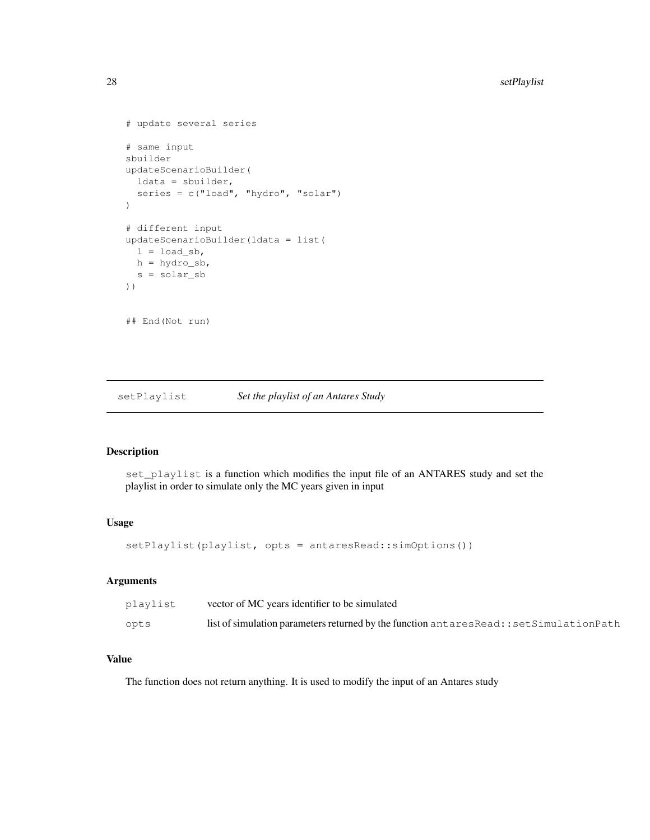```
# update several series
# same input
sbuilder
updateScenarioBuilder(
 ldata = sbuilder,
  series = c("load", "hydro", "solar")
)
# different input
updateScenarioBuilder(ldata = list(
 l = load_sb,
 h = hydro_sb,s = solar_sb
))
## End(Not run)
```
setPlaylist *Set the playlist of an Antares Study*

#### Description

set\_playlist is a function which modifies the input file of an ANTARES study and set the playlist in order to simulate only the MC years given in input

# Usage

setPlaylist(playlist, opts = antaresRead::simOptions())

# Arguments

| playlist | vector of MC years identifier to be simulated                                              |
|----------|--------------------------------------------------------------------------------------------|
| opts     | list of simulation parameters returned by the function antares Read: : set Simulation Path |

# Value

The function does not return anything. It is used to modify the input of an Antares study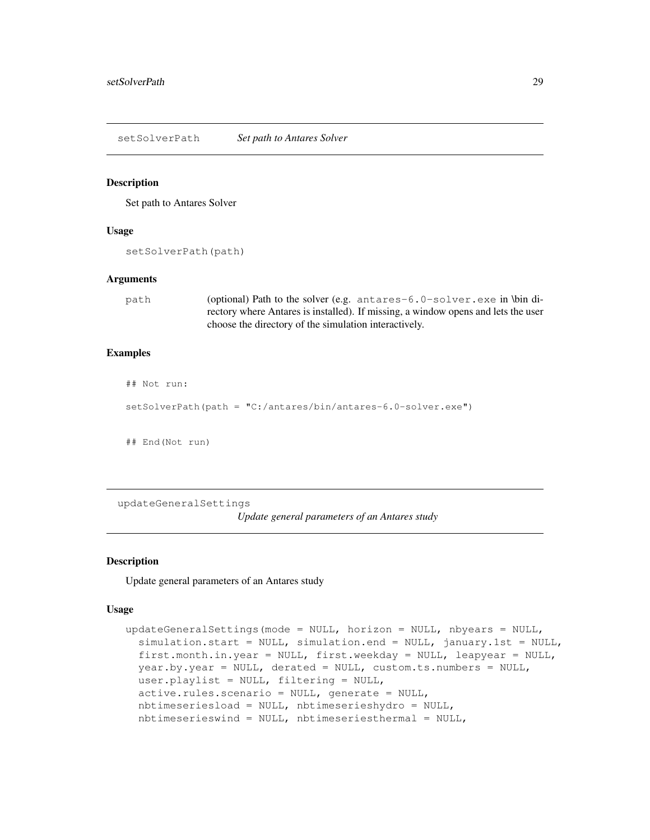setSolverPath *Set path to Antares Solver*

#### Description

Set path to Antares Solver

#### Usage

```
setSolverPath(path)
```
#### Arguments

path (optional) Path to the solver (e.g. antares-6.0-solver.exe in \bin directory where Antares is installed). If missing, a window opens and lets the user choose the directory of the simulation interactively.

#### Examples

```
## Not run:
```

```
setSolverPath(path = "C:/antares/bin/antares-6.0-solver.exe")
```
## End(Not run)

updateGeneralSettings

*Update general parameters of an Antares study*

#### **Description**

Update general parameters of an Antares study

#### Usage

```
updateGeneralSettings(mode = NULL, horizon = NULL, nbyears = NULL,
  simulation.start = NULL, simulation.end = NULL, january.1st = NULL,first.month.in.year = NULL, first.weekday = NULL, leapyear = NULL,
 year.by.year = NULL, derated = NULL, custom.ts.numbers = NULL,
  user.playlist = NULL, filtering = NULL,
  active.rules.scenario = NULL, generate = NULL,
  nbtimeseriesload = NULL, nbtimeserieshydro = NULL,
  nbtimeserieswind = NULL, nbtimeseriesthermal = NULL,
```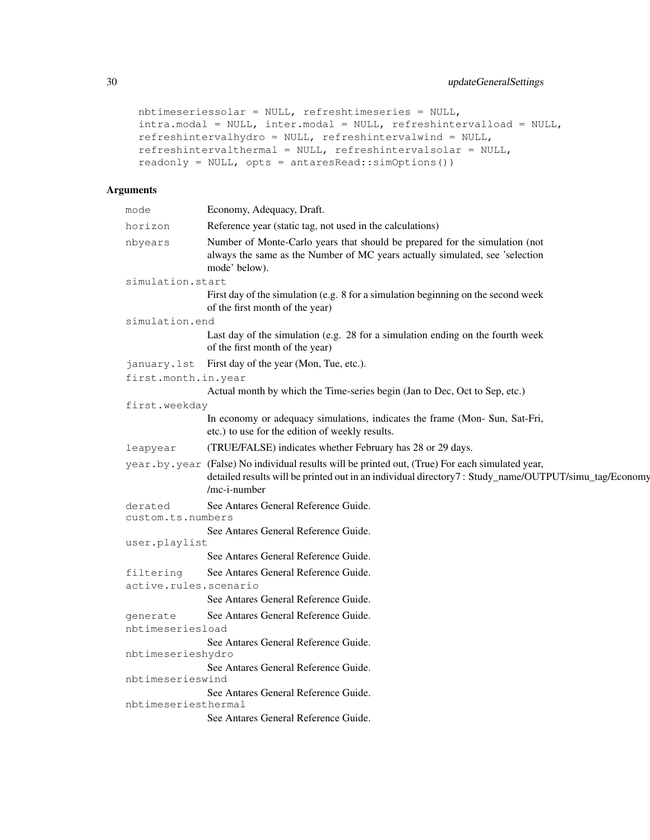```
nbtimeseriessolar = NULL, refreshtimeseries = NULL,
intra.modal = NULL, inter.modal = NULL, refreshintervalload = NULL,
refreshintervalhydro = NULL, refreshintervalwind = NULL,
refreshintervalthermal = NULL, refreshintervalsolar = NULL,
readonly = NULL, opts = antaresRead::simOptions())
```

| mode                               | Economy, Adequacy, Draft.                                                                                                                                                                                                  |
|------------------------------------|----------------------------------------------------------------------------------------------------------------------------------------------------------------------------------------------------------------------------|
| horizon                            | Reference year (static tag, not used in the calculations)                                                                                                                                                                  |
| nbyears                            | Number of Monte-Carlo years that should be prepared for the simulation (not<br>always the same as the Number of MC years actually simulated, see 'selection<br>mode' below).                                               |
| simulation.start                   |                                                                                                                                                                                                                            |
|                                    | First day of the simulation (e.g. 8 for a simulation beginning on the second week<br>of the first month of the year)                                                                                                       |
| simulation.end                     |                                                                                                                                                                                                                            |
|                                    | Last day of the simulation (e.g. 28 for a simulation ending on the fourth week<br>of the first month of the year)                                                                                                          |
| january.1st                        | First day of the year (Mon, Tue, etc.).                                                                                                                                                                                    |
| first.month.in.year                |                                                                                                                                                                                                                            |
|                                    | Actual month by which the Time-series begin (Jan to Dec, Oct to Sep, etc.)                                                                                                                                                 |
| first.weekday                      |                                                                                                                                                                                                                            |
|                                    | In economy or adequacy simulations, indicates the frame (Mon- Sun, Sat-Fri,<br>etc.) to use for the edition of weekly results.                                                                                             |
| leapyear                           | (TRUE/FALSE) indicates whether February has 28 or 29 days.                                                                                                                                                                 |
|                                    | year.by.year (False) No individual results will be printed out, (True) For each simulated year,<br>detailed results will be printed out in an individual directory7: Study_name/OUTPUT/simu_tag/Economy<br>$/mc$ -i-number |
| derated<br>custom.ts.numbers       | See Antares General Reference Guide.                                                                                                                                                                                       |
| user.playlist                      | See Antares General Reference Guide.                                                                                                                                                                                       |
|                                    | See Antares General Reference Guide.                                                                                                                                                                                       |
| filtering<br>active.rules.scenario | See Antares General Reference Guide.                                                                                                                                                                                       |
|                                    | See Antares General Reference Guide.                                                                                                                                                                                       |
| generate<br>nbtimeseriesload       | See Antares General Reference Guide.                                                                                                                                                                                       |
|                                    | See Antares General Reference Guide.                                                                                                                                                                                       |
| nbtimeserieshydro                  |                                                                                                                                                                                                                            |
| nbtimeserieswind                   | See Antares General Reference Guide.                                                                                                                                                                                       |
|                                    | See Antares General Reference Guide.                                                                                                                                                                                       |
| nbtimeseriesthermal                |                                                                                                                                                                                                                            |
|                                    | See Antares General Reference Guide.                                                                                                                                                                                       |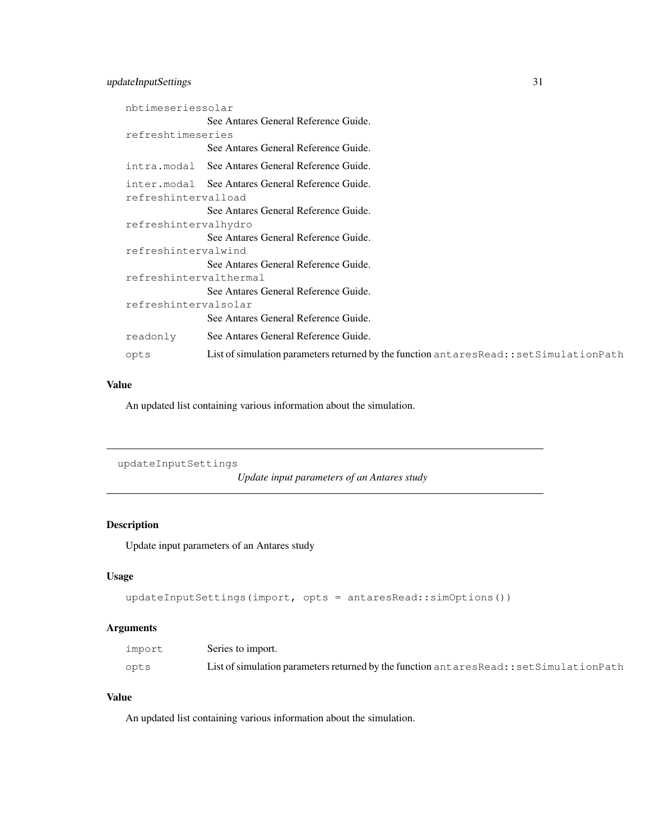# updateInputSettings 31

| nbtimeseriessolar      |                                                                                           |
|------------------------|-------------------------------------------------------------------------------------------|
|                        | See Antares General Reference Guide.                                                      |
| refreshtimeseries      |                                                                                           |
|                        | See Antares General Reference Guide.                                                      |
|                        | intra.modal See Antares General Reference Guide.                                          |
|                        | inter.modal See Antares General Reference Guide.                                          |
| refreshintervalload    |                                                                                           |
|                        | See Antares General Reference Guide.                                                      |
| refreshintervalhydro   |                                                                                           |
|                        | See Antares General Reference Guide.                                                      |
| refreshintervalwind    |                                                                                           |
|                        | See Antares General Reference Guide.                                                      |
| refreshintervalthermal |                                                                                           |
|                        | See Antares General Reference Guide.                                                      |
| refreshintervalsolar   |                                                                                           |
|                        | See Antares General Reference Guide.                                                      |
| readonly               | See Antares General Reference Guide.                                                      |
| opts                   | List of simulation parameters returned by the function antares Read:: set Simulation Path |

# Value

An updated list containing various information about the simulation.

```
updateInputSettings
```
*Update input parameters of an Antares study*

# Description

Update input parameters of an Antares study

#### Usage

```
updateInputSettings(import, opts = antaresRead::simOptions())
```
# Arguments

| import | Series to import.                                                                          |
|--------|--------------------------------------------------------------------------------------------|
| opts   | List of simulation parameters returned by the function antares Read: : set Simulation Path |

# Value

An updated list containing various information about the simulation.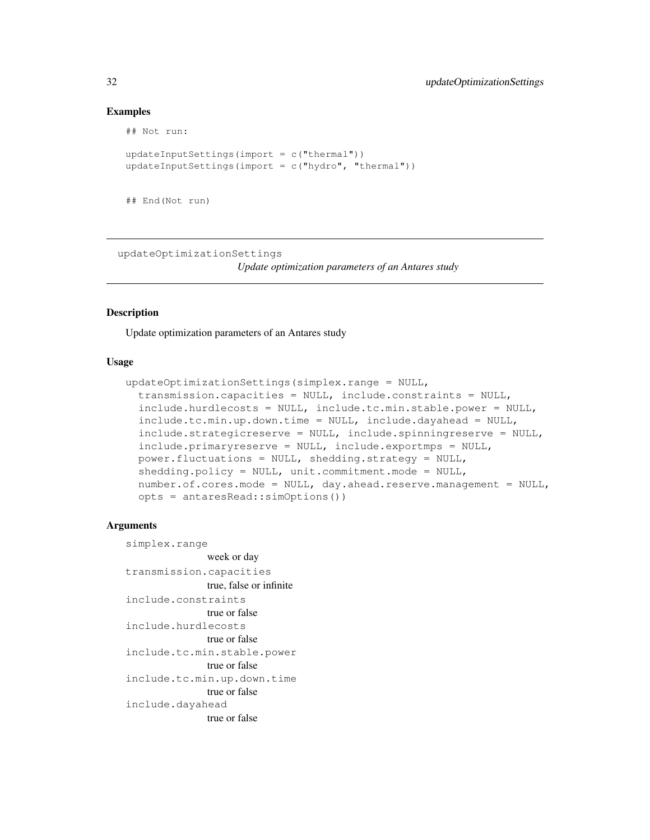#### Examples

```
## Not run:
updateInputStream + \text{int}(\text{import} = c("thermal"))updateInputSettings(import = c("hydro", "thermal")))
```

```
## End(Not run)
```
updateOptimizationSettings

*Update optimization parameters of an Antares study*

#### Description

Update optimization parameters of an Antares study

#### Usage

```
updateOptimizationSettings(simplex.range = NULL,
  transmission.capacities = NULL, include.constraints = NULL,
  include.hurdlecosts = NULL, include.tc.min.stable.power = NULL,
  include.tc.min.up.down.time = NULL, include.dayahead = NULL,
  include.strategicreserve = NULL, include.spinningreserve = NULL,
  include.primaryreserve = NULL, include.exportmps = NULL,
  power.fluctuations = NULL, shedding.strategy = NULL,
  shedding.policy = NULL, unit.commitment.mode = NULL,
  number.of.cores.mode = NULL, day.ahead.reserve.management = NULL,
  opts = antaresRead::simOptions())
```

```
simplex.range
               week or day
transmission.capacities
               true, false or infinite
include.constraints
               true or false
include.hurdlecosts
               true or false
include.tc.min.stable.power
               true or false
include.tc.min.up.down.time
               true or false
include.dayahead
               true or false
```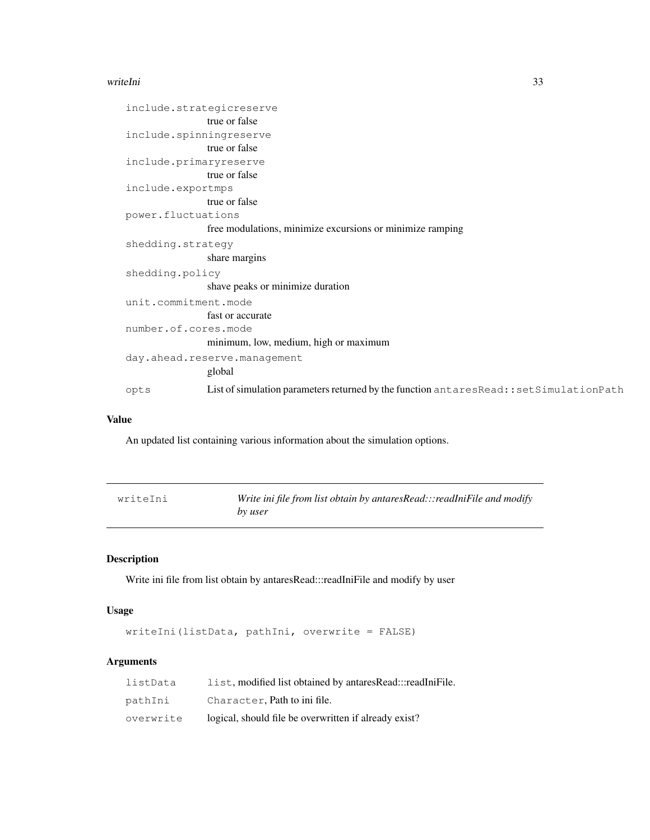#### writeIni 33

| include.strategicreserve |                                                                                       |
|--------------------------|---------------------------------------------------------------------------------------|
|                          | true or false                                                                         |
| include.spinningreserve  |                                                                                       |
|                          | true or false                                                                         |
| include.primaryreserve   |                                                                                       |
|                          | true or false                                                                         |
| include.exportmps        |                                                                                       |
|                          | true or false                                                                         |
| power.fluctuations       |                                                                                       |
|                          | free modulations, minimize excursions or minimize ramping                             |
| shedding.strategy        |                                                                                       |
|                          | share margins                                                                         |
| shedding.policy          |                                                                                       |
|                          | shave peaks or minimize duration                                                      |
| unit.commitment.mode     |                                                                                       |
|                          | fast or accurate                                                                      |
| number.of.cores.mode     |                                                                                       |
|                          | minimum, low, medium, high or maximum                                                 |
|                          | day.ahead.reserve.management                                                          |
|                          | global                                                                                |
| opts                     | List of simulation parameters returned by the function antaresRead::setSimulationPath |

# Value

An updated list containing various information about the simulation options.

| writeIni | Write ini file from list obtain by antaresRead:::readIniFile and modify |
|----------|-------------------------------------------------------------------------|
|          | by user                                                                 |

# Description

Write ini file from list obtain by antaresRead:::readIniFile and modify by user

# Usage

writeIni(listData, pathIni, overwrite = FALSE)

| listData  | list, modified list obtained by antaresRead:::readIniFile. |
|-----------|------------------------------------------------------------|
| pathIni   | Character, Path to ini file.                               |
| overwrite | logical, should file be overwritten if already exist?      |